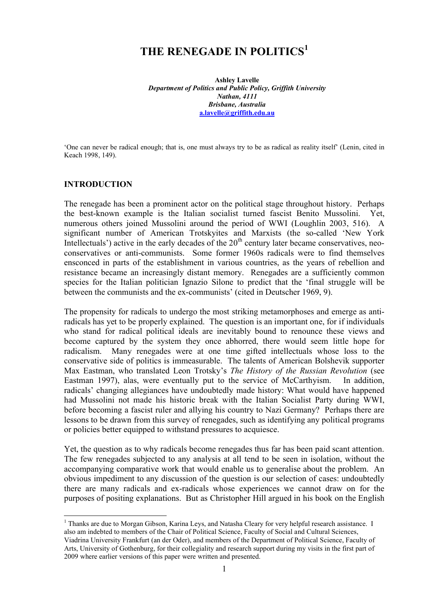# **THE RENEGADE IN POLITICS<sup>1</sup>**

**Ashley Lavelle** *Department of Politics and Public Policy, Griffith University Nathan, 4111 Brisbane, Australia* **a.lavelle@griffith.edu.au**

'One can never be radical enough; that is, one must always try to be as radical as reality itself' (Lenin, cited in Keach 1998, 149).

#### **INTRODUCTION**

The renegade has been a prominent actor on the political stage throughout history. Perhaps the best-known example is the Italian socialist turned fascist Benito Mussolini. Yet, numerous others joined Mussolini around the period of WWI (Loughlin 2003, 516). A significant number of American Trotskyites and Marxists (the so-called 'New York Intellectuals') active in the early decades of the  $20<sup>th</sup>$  century later became conservatives, neoconservatives or anti-communists. Some former 1960s radicals were to find themselves ensconced in parts of the establishment in various countries, as the years of rebellion and resistance became an increasingly distant memory. Renegades are a sufficiently common species for the Italian politician Ignazio Silone to predict that the 'final struggle will be between the communists and the ex-communists' (cited in Deutscher 1969, 9).

The propensity for radicals to undergo the most striking metamorphoses and emerge as antiradicals has yet to be properly explained. The question is an important one, for if individuals who stand for radical political ideals are inevitably bound to renounce these views and become captured by the system they once abhorred, there would seem little hope for radicalism. Many renegades were at one time gifted intellectuals whose loss to the conservative side of politics is immeasurable. The talents of American Bolshevik supporter Max Eastman, who translated Leon Trotsky's *The History of the Russian Revolution* (see Eastman 1997), alas, were eventually put to the service of McCarthyism. In addition, radicals' changing allegiances have undoubtedly made history: What would have happened had Mussolini not made his historic break with the Italian Socialist Party during WWI, before becoming a fascist ruler and allying his country to Nazi Germany? Perhaps there are lessons to be drawn from this survey of renegades, such as identifying any political programs or policies better equipped to withstand pressures to acquiesce.

Yet, the question as to why radicals become renegades thus far has been paid scant attention. The few renegades subjected to any analysis at all tend to be seen in isolation, without the accompanying comparative work that would enable us to generalise about the problem. An obvious impediment to any discussion of the question is our selection of cases: undoubtedly there are many radicals and ex-radicals whose experiences we cannot draw on for the purposes of positing explanations. But as Christopher Hill argued in his book on the English

1 <sup>1</sup> Thanks are due to Morgan Gibson, Karina Leys, and Natasha Cleary for very helpful research assistance. I also am indebted to members of the Chair of Political Science, Faculty of Social and Cultural Sciences,

Viadrina University Frankfurt (an der Oder), and members of the Department of Political Science, Faculty of Arts, University of Gothenburg, for their collegiality and research support during my visits in the first part of 2009 where earlier versions of this paper were written and presented.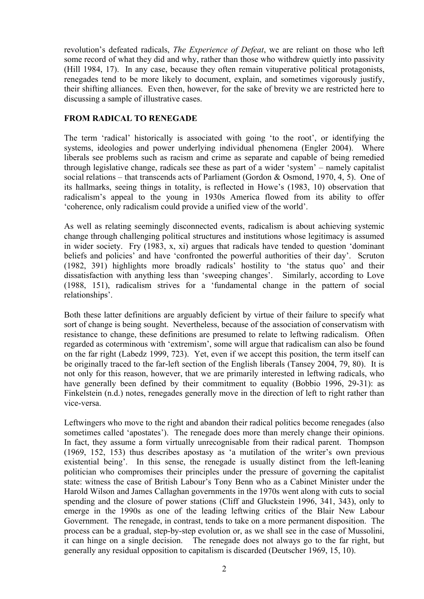revolution's defeated radicals, *The Experience of Defeat*, we are reliant on those who left some record of what they did and why, rather than those who withdrew quietly into passivity (Hill 1984, 17). In any case, because they often remain vituperative political protagonists, renegades tend to be more likely to document, explain, and sometimes vigorously justify, their shifting alliances. Even then, however, for the sake of brevity we are restricted here to discussing a sample of illustrative cases.

## **FROM RADICAL TO RENEGADE**

The term 'radical' historically is associated with going 'to the root', or identifying the systems, ideologies and power underlying individual phenomena (Engler 2004). Where liberals see problems such as racism and crime as separate and capable of being remedied through legislative change, radicals see these as part of a wider 'system' – namely capitalist social relations – that transcends acts of Parliament (Gordon & Osmond, 1970, 4, 5). One of its hallmarks, seeing things in totality, is reflected in Howe's (1983, 10) observation that radicalism's appeal to the young in 1930s America flowed from its ability to offer 'coherence, only radicalism could provide a unified view of the world'.

As well as relating seemingly disconnected events, radicalism is about achieving systemic change through challenging political structures and institutions whose legitimacy is assumed in wider society. Fry (1983, x, xi) argues that radicals have tended to question 'dominant beliefs and policies' and have 'confronted the powerful authorities of their day'. Scruton (1982, 391) highlights more broadly radicals' hostility to 'the status quo' and their dissatisfaction with anything less than 'sweeping changes'. Similarly, according to Love (1988, 151), radicalism strives for a 'fundamental change in the pattern of social relationships'.

Both these latter definitions are arguably deficient by virtue of their failure to specify what sort of change is being sought. Nevertheless, because of the association of conservatism with resistance to change, these definitions are presumed to relate to leftwing radicalism. Often regarded as coterminous with 'extremism', some will argue that radicalism can also be found on the far right (Labedz 1999, 723). Yet, even if we accept this position, the term itself can be originally traced to the far-left section of the English liberals (Tansey 2004, 79, 80). It is not only for this reason, however, that we are primarily interested in leftwing radicals, who have generally been defined by their commitment to equality (Bobbio 1996, 29-31): as Finkelstein (n.d.) notes, renegades generally move in the direction of left to right rather than vice-versa.

Leftwingers who move to the right and abandon their radical politics become renegades (also sometimes called 'apostates'). The renegade does more than merely change their opinions. In fact, they assume a form virtually unrecognisable from their radical parent. Thompson (1969, 152, 153) thus describes apostasy as 'a mutilation of the writer's own previous existential being'. In this sense, the renegade is usually distinct from the left-leaning politician who compromises their principles under the pressure of governing the capitalist state: witness the case of British Labour's Tony Benn who as a Cabinet Minister under the Harold Wilson and James Callaghan governments in the 1970s went along with cuts to social spending and the closure of power stations (Cliff and Gluckstein 1996, 341, 343), only to emerge in the 1990s as one of the leading leftwing critics of the Blair New Labour Government. The renegade, in contrast, tends to take on a more permanent disposition. The process can be a gradual, step-by-step evolution or, as we shall see in the case of Mussolini, it can hinge on a single decision. The renegade does not always go to the far right, but generally any residual opposition to capitalism is discarded (Deutscher 1969, 15, 10).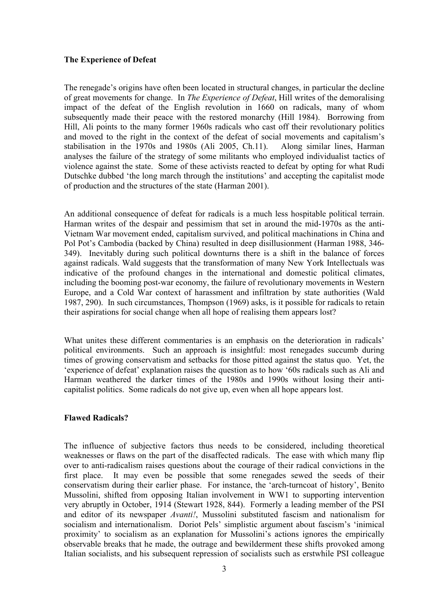## **The Experience of Defeat**

The renegade's origins have often been located in structural changes, in particular the decline of great movements for change. In *The Experience of Defeat*, Hill writes of the demoralising impact of the defeat of the English revolution in 1660 on radicals, many of whom subsequently made their peace with the restored monarchy (Hill 1984). Borrowing from Hill, Ali points to the many former 1960s radicals who cast off their revolutionary politics and moved to the right in the context of the defeat of social movements and capitalism's stabilisation in the 1970s and 1980s (Ali 2005, Ch.11). Along similar lines, Harman analyses the failure of the strategy of some militants who employed individualist tactics of violence against the state. Some of these activists reacted to defeat by opting for what Rudi Dutschke dubbed 'the long march through the institutions' and accepting the capitalist mode of production and the structures of the state (Harman 2001).

An additional consequence of defeat for radicals is a much less hospitable political terrain. Harman writes of the despair and pessimism that set in around the mid-1970s as the anti-Vietnam War movement ended, capitalism survived, and political machinations in China and Pol Pot's Cambodia (backed by China) resulted in deep disillusionment (Harman 1988, 346- 349). Inevitably during such political downturns there is a shift in the balance of forces against radicals. Wald suggests that the transformation of many New York Intellectuals was indicative of the profound changes in the international and domestic political climates, including the booming post-war economy, the failure of revolutionary movements in Western Europe, and a Cold War context of harassment and infiltration by state authorities (Wald 1987, 290). In such circumstances, Thompson (1969) asks, is it possible for radicals to retain their aspirations for social change when all hope of realising them appears lost?

What unites these different commentaries is an emphasis on the deterioration in radicals' political environments. Such an approach is insightful: most renegades succumb during times of growing conservatism and setbacks for those pitted against the status quo. Yet, the 'experience of defeat' explanation raises the question as to how '60s radicals such as Ali and Harman weathered the darker times of the 1980s and 1990s without losing their anticapitalist politics. Some radicals do not give up, even when all hope appears lost.

### **Flawed Radicals?**

The influence of subjective factors thus needs to be considered, including theoretical weaknesses or flaws on the part of the disaffected radicals. The ease with which many flip over to anti-radicalism raises questions about the courage of their radical convictions in the first place. It may even be possible that some renegades sewed the seeds of their conservatism during their earlier phase. For instance, the 'arch-turncoat of history', Benito Mussolini, shifted from opposing Italian involvement in WW1 to supporting intervention very abruptly in October, 1914 (Stewart 1928, 844). Formerly a leading member of the PSI and editor of its newspaper *Avanti!*, Mussolini substituted fascism and nationalism for socialism and internationalism. Doriot Pels' simplistic argument about fascism's 'inimical proximity' to socialism as an explanation for Mussolini's actions ignores the empirically observable breaks that he made, the outrage and bewilderment these shifts provoked among Italian socialists, and his subsequent repression of socialists such as erstwhile PSI colleague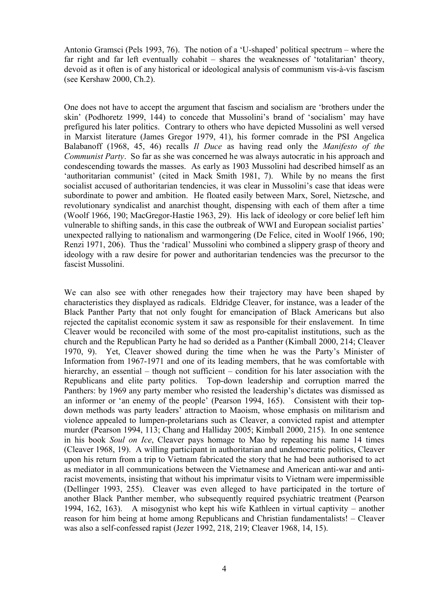Antonio Gramsci (Pels 1993, 76). The notion of a 'U-shaped' political spectrum – where the far right and far left eventually cohabit – shares the weaknesses of 'totalitarian' theory, devoid as it often is of any historical or ideological analysis of communism vis-à-vis fascism (see Kershaw 2000, Ch.2).

One does not have to accept the argument that fascism and socialism are 'brothers under the skin' (Podhoretz 1999, 144) to concede that Mussolini's brand of 'socialism' may have prefigured his later politics. Contrary to others who have depicted Mussolini as well versed in Marxist literature (James Gregor 1979, 41), his former comrade in the PSI Angelica Balabanoff (1968, 45, 46) recalls *Il Duce* as having read only the *Manifesto of the Communist Party*. So far as she was concerned he was always autocratic in his approach and condescending towards the masses.As early as 1903 Mussolini had described himself as an 'authoritarian communist' (cited in Mack Smith 1981, 7). While by no means the first socialist accused of authoritarian tendencies, it was clear in Mussolini's case that ideas were subordinate to power and ambition. He floated easily between Marx, Sorel, Nietzsche, and revolutionary syndicalist and anarchist thought, dispensing with each of them after a time (Woolf 1966, 190; MacGregor-Hastie 1963, 29). His lack of ideology or core belief left him vulnerable to shifting sands, in this case the outbreak of WWI and European socialist parties' unexpected rallying to nationalism and warmongering (De Felice, cited in Woolf 1966, 190; Renzi 1971, 206). Thus the 'radical' Mussolini who combined a slippery grasp of theory and ideology with a raw desire for power and authoritarian tendencies was the precursor to the fascist Mussolini.

We can also see with other renegades how their trajectory may have been shaped by characteristics they displayed as radicals. Eldridge Cleaver, for instance, was a leader of the Black Panther Party that not only fought for emancipation of Black Americans but also rejected the capitalist economic system it saw as responsible for their enslavement. In time Cleaver would be reconciled with some of the most pro-capitalist institutions, such as the church and the Republican Party he had so derided as a Panther (Kimball 2000, 214; Cleaver 1970, 9). Yet, Cleaver showed during the time when he was the Party's Minister of Information from 1967-1971 and one of its leading members, that he was comfortable with hierarchy, an essential – though not sufficient – condition for his later association with the Republicans and elite party politics. Top-down leadership and corruption marred the Panthers: by 1969 any party member who resisted the leadership's dictates was dismissed as an informer or 'an enemy of the people' (Pearson 1994, 165). Consistent with their topdown methods was party leaders' attraction to Maoism, whose emphasis on militarism and violence appealed to lumpen-proletarians such as Cleaver, a convicted rapist and attempter murder (Pearson 1994, 113; Chang and Halliday 2005; Kimball 2000, 215). In one sentence in his book *Soul on Ice*, Cleaver pays homage to Mao by repeating his name 14 times (Cleaver 1968, 19). A willing participant in authoritarian and undemocratic politics, Cleaver upon his return from a trip to Vietnam fabricated the story that he had been authorised to act as mediator in all communications between the Vietnamese and American anti-war and antiracist movements, insisting that without his imprimatur visits to Vietnam were impermissible (Dellinger 1993, 255). Cleaver was even alleged to have participated in the torture of another Black Panther member, who subsequently required psychiatric treatment (Pearson 1994, 162, 163). A misogynist who kept his wife Kathleen in virtual captivity – another reason for him being at home among Republicans and Christian fundamentalists! – Cleaver was also a self-confessed rapist (Jezer 1992, 218, 219; Cleaver 1968, 14, 15).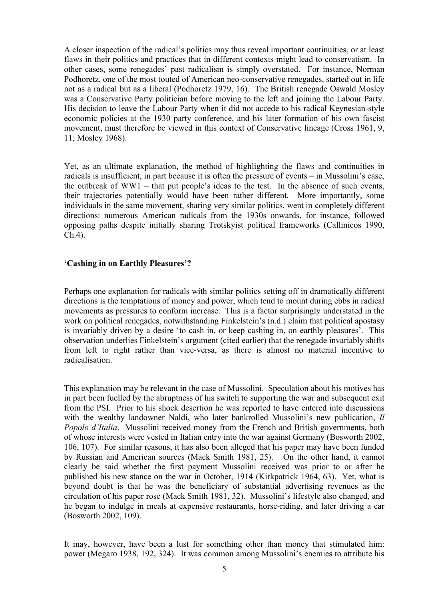A closer inspection of the radical's politics may thus reveal important continuities, or at least flaws in their politics and practices that in different contexts might lead to conservatism. In other cases, some renegades' past radicalism is simply overstated. For instance, Norman Podhoretz, one of the most touted of American neo-conservative renegades, started out in life not as a radical but as a liberal (Podhoretz 1979, 16). The British renegade Oswald Mosley was a Conservative Party politician before moving to the left and joining the Labour Party. His decision to leave the Labour Party when it did not accede to his radical Keynesian-style economic policies at the 1930 party conference, and his later formation of his own fascist movement, must therefore be viewed in this context of Conservative lineage (Cross 1961, 9, 11; Mosley 1968).

Yet, as an ultimate explanation, the method of highlighting the flaws and continuities in radicals is insufficient, in part because it is often the pressure of events – in Mussolini's case, the outbreak of WW1 – that put people's ideas to the test. In the absence of such events, their trajectories potentially would have been rather different. More importantly, some individuals in the same movement, sharing very similar politics, went in completely different directions: numerous American radicals from the 1930s onwards, for instance, followed opposing paths despite initially sharing Trotskyist political frameworks (Callinicos 1990, Ch.4).

#### **'Cashing in on Earthly Pleasures'?**

Perhaps one explanation for radicals with similar politics setting off in dramatically different directions is the temptations of money and power, which tend to mount during ebbs in radical movements as pressures to conform increase. This is a factor surprisingly understated in the work on political renegades, notwithstanding Finkelstein's (n.d.) claim that political apostasy is invariably driven by a desire 'to cash in, or keep cashing in, on earthly pleasures'. This observation underlies Finkelstein's argument (cited earlier) that the renegade invariably shifts from left to right rather than vice-versa, as there is almost no material incentive to radicalisation.

This explanation may be relevant in the case of Mussolini. Speculation about his motives has in part been fuelled by the abruptness of his switch to supporting the war and subsequent exit from the PSI. Prior to his shock desertion he was reported to have entered into discussions with the wealthy landowner Naldi, who later bankrolled Mussolini's new publication, *Il Popolo d'Italia*. Mussolini received money from the French and British governments, both of whose interests were vested in Italian entry into the war against Germany (Bosworth 2002, 106, 107). For similar reasons, it has also been alleged that his paper may have been funded by Russian and American sources (Mack Smith 1981, 25). On the other hand, it cannot clearly be said whether the first payment Mussolini received was prior to or after he published his new stance on the war in October, 1914 (Kirkpatrick 1964, 63). Yet, what is beyond doubt is that he was the beneficiary of substantial advertising revenues as the circulation of his paper rose (Mack Smith 1981, 32). Mussolini's lifestyle also changed, and he began to indulge in meals at expensive restaurants, horse-riding, and later driving a car (Bosworth 2002, 109).

It may, however, have been a lust for something other than money that stimulated him: power (Megaro 1938, 192, 324). It was common among Mussolini's enemies to attribute his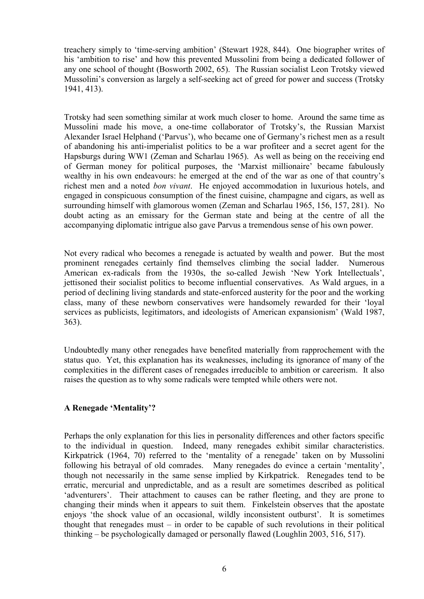treachery simply to 'time-serving ambition' (Stewart 1928, 844). One biographer writes of his 'ambition to rise' and how this prevented Mussolini from being a dedicated follower of any one school of thought (Bosworth 2002, 65). The Russian socialist Leon Trotsky viewed Mussolini's conversion as largely a self-seeking act of greed for power and success (Trotsky 1941, 413).

Trotsky had seen something similar at work much closer to home. Around the same time as Mussolini made his move, a one-time collaborator of Trotsky's, the Russian Marxist Alexander Israel Helphand ('Parvus'), who became one of Germany's richest men as a result of abandoning his anti-imperialist politics to be a war profiteer and a secret agent for the Hapsburgs during WW1 (Zeman and Scharlau 1965). As well as being on the receiving end of German money for political purposes, the 'Marxist millionaire' became fabulously wealthy in his own endeavours: he emerged at the end of the war as one of that country's richest men and a noted *bon vivant*. He enjoyed accommodation in luxurious hotels, and engaged in conspicuous consumption of the finest cuisine, champagne and cigars, as well as surrounding himself with glamorous women (Zeman and Scharlau 1965, 156, 157, 281). No doubt acting as an emissary for the German state and being at the centre of all the accompanying diplomatic intrigue also gave Parvus a tremendous sense of his own power.

Not every radical who becomes a renegade is actuated by wealth and power. But the most prominent renegades certainly find themselves climbing the social ladder. Numerous American ex-radicals from the 1930s, the so-called Jewish 'New York Intellectuals', jettisoned their socialist politics to become influential conservatives. As Wald argues, in a period of declining living standards and state-enforced austerity for the poor and the working class, many of these newborn conservatives were handsomely rewarded for their 'loyal services as publicists, legitimators, and ideologists of American expansionism' (Wald 1987, 363).

Undoubtedly many other renegades have benefited materially from rapprochement with the status quo. Yet, this explanation has its weaknesses, including its ignorance of many of the complexities in the different cases of renegades irreducible to ambition or careerism. It also raises the question as to why some radicals were tempted while others were not.

# **A Renegade 'Mentality'?**

Perhaps the only explanation for this lies in personality differences and other factors specific to the individual in question. Indeed, many renegades exhibit similar characteristics. Kirkpatrick (1964, 70) referred to the 'mentality of a renegade' taken on by Mussolini following his betrayal of old comrades. Many renegades do evince a certain 'mentality', though not necessarily in the same sense implied by Kirkpatrick. Renegades tend to be erratic, mercurial and unpredictable, and as a result are sometimes described as political 'adventurers'. Their attachment to causes can be rather fleeting, and they are prone to changing their minds when it appears to suit them. Finkelstein observes that the apostate enjoys 'the shock value of an occasional, wildly inconsistent outburst'. It is sometimes thought that renegades must – in order to be capable of such revolutions in their political thinking – be psychologically damaged or personally flawed (Loughlin 2003, 516, 517).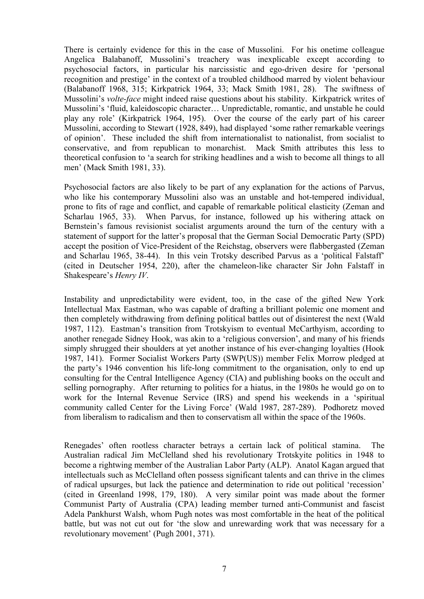There is certainly evidence for this in the case of Mussolini. For his onetime colleague Angelica Balabanoff, Mussolini's treachery was inexplicable except according to psychosocial factors, in particular his narcissistic and ego-driven desire for 'personal recognition and prestige' in the context of a troubled childhood marred by violent behaviour (Balabanoff 1968, 315; Kirkpatrick 1964, 33; Mack Smith 1981, 28). The swiftness of Mussolini's *volte-face* might indeed raise questions about his stability. Kirkpatrick writes of Mussolini's 'fluid, kaleidoscopic character… Unpredictable, romantic, and unstable he could play any role' (Kirkpatrick 1964, 195). Over the course of the early part of his career Mussolini, according to Stewart (1928, 849), had displayed 'some rather remarkable veerings of opinion'. These included the shift from internationalist to nationalist, from socialist to conservative, and from republican to monarchist. Mack Smith attributes this less to theoretical confusion to 'a search for striking headlines and a wish to become all things to all men' (Mack Smith 1981, 33).

Psychosocial factors are also likely to be part of any explanation for the actions of Parvus, who like his contemporary Mussolini also was an unstable and hot-tempered individual, prone to fits of rage and conflict, and capable of remarkable political elasticity (Zeman and Scharlau 1965, 33). When Parvus, for instance, followed up his withering attack on Bernstein's famous revisionist socialist arguments around the turn of the century with a statement of support for the latter's proposal that the German Social Democratic Party (SPD) accept the position of Vice-President of the Reichstag, observers were flabbergasted (Zeman and Scharlau 1965, 38-44). In this vein Trotsky described Parvus as a 'political Falstaff' (cited in Deutscher 1954, 220), after the chameleon-like character Sir John Falstaff in Shakespeare's *Henry IV*.

Instability and unpredictability were evident, too, in the case of the gifted New York Intellectual Max Eastman, who was capable of drafting a brilliant polemic one moment and then completely withdrawing from defining political battles out of disinterest the next (Wald 1987, 112). Eastman's transition from Trotskyism to eventual McCarthyism, according to another renegade Sidney Hook, was akin to a 'religious conversion', and many of his friends simply shrugged their shoulders at yet another instance of his ever-changing loyalties (Hook 1987, 141). Former Socialist Workers Party (SWP(US)) member Felix Morrow pledged at the party's 1946 convention his life-long commitment to the organisation, only to end up consulting for the Central Intelligence Agency (CIA) and publishing books on the occult and selling pornography. After returning to politics for a hiatus, in the 1980s he would go on to work for the Internal Revenue Service (IRS) and spend his weekends in a 'spiritual community called Center for the Living Force' (Wald 1987, 287-289). Podhoretz moved from liberalism to radicalism and then to conservatism all within the space of the 1960s.

Renegades' often rootless character betrays a certain lack of political stamina. The Australian radical Jim McClelland shed his revolutionary Trotskyite politics in 1948 to become a rightwing member of the Australian Labor Party (ALP). Anatol Kagan argued that intellectuals such as McClelland often possess significant talents and can thrive in the climes of radical upsurges, but lack the patience and determination to ride out political 'recession' (cited in Greenland 1998, 179, 180). A very similar point was made about the former Communist Party of Australia (CPA) leading member turned anti-Communist and fascist Adela Pankhurst Walsh, whom Pugh notes was most comfortable in the heat of the political battle, but was not cut out for 'the slow and unrewarding work that was necessary for a revolutionary movement' (Pugh 2001, 371).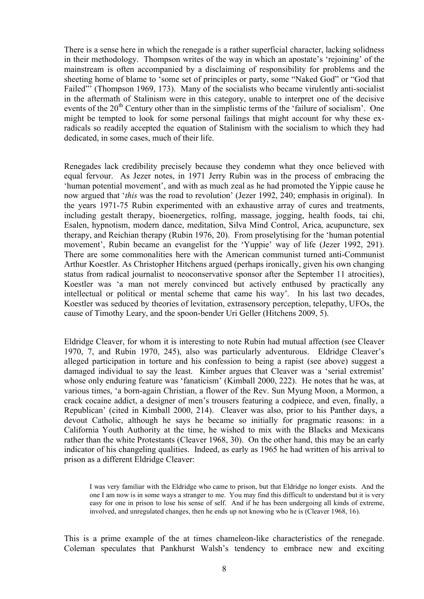There is a sense here in which the renegade is a rather superficial character, lacking solidness in their methodology. Thompson writes of the way in which an apostate's 'rejoining' of the mainstream is often accompanied by a disclaiming of responsibility for problems and the sheeting home of blame to 'some set of principles or party, some "Naked God" or "God that Failed"' (Thompson 1969, 173). Many of the socialists who became virulently anti-socialist in the aftermath of Stalinism were in this category, unable to interpret one of the decisive events of the  $20<sup>th</sup>$  Century other than in the simplistic terms of the 'failure of socialism'. One might be tempted to look for some personal failings that might account for why these exradicals so readily accepted the equation of Stalinism with the socialism to which they had dedicated, in some cases, much of their life.

Renegades lack credibility precisely because they condemn what they once believed with equal fervour. As Jezer notes, in 1971 Jerry Rubin was in the process of embracing the 'human potential movement', and with as much zeal as he had promoted the Yippie cause he now argued that '*this* was the road to revolution' (Jezer 1992, 240; emphasis in original). In the years 1971-75 Rubin experimented with an exhaustive array of cures and treatments, including gestalt therapy, bioenergetics, rolfing, massage, jogging, health foods, tai chi, Esalen, hypnotism, modern dance, meditation, Silva Mind Control, Arica, acupuncture, sex therapy, and Reichian therapy (Rubin 1976, 20). From proselytising for the 'human potential movement', Rubin became an evangelist for the 'Yuppie' way of life (Jezer 1992, 291). There are some commonalities here with the American communist turned anti-Communist Arthur Koestler. As Christopher Hitchens argued (perhaps ironically, given his own changing status from radical journalist to neoconservative sponsor after the September 11 atrocities), Koestler was 'a man not merely convinced but actively enthused by practically any intellectual or political or mental scheme that came his way'. In his last two decades, Koestler was seduced by theories of levitation, extrasensory perception, telepathy, UFOs, the cause of Timothy Leary, and the spoon-bender Uri Geller (Hitchens 2009, 5).

Eldridge Cleaver, for whom it is interesting to note Rubin had mutual affection (see Cleaver 1970, 7, and Rubin 1970, 245), also was particularly adventurous. Eldridge Cleaver's alleged participation in torture and his confession to being a rapist (see above) suggest a damaged individual to say the least. Kimber argues that Cleaver was a 'serial extremist' whose only enduring feature was 'fanaticism' (Kimball 2000, 222). He notes that he was, at various times, 'a born-again Christian, a flower of the Rev. Sun Myung Moon, a Mormon, a crack cocaine addict, a designer of men's trousers featuring a codpiece, and even, finally, a Republican' (cited in Kimball 2000, 214). Cleaver was also, prior to his Panther days, a devout Catholic, although he says he became so initially for pragmatic reasons: in a California Youth Authority at the time, he wished to mix with the Blacks and Mexicans rather than the white Protestants (Cleaver 1968, 30). On the other hand, this may be an early indicator of his changeling qualities. Indeed, as early as 1965 he had written of his arrival to prison as a different Eldridge Cleaver:

I was very familiar with the Eldridge who came to prison, but that Eldridge no longer exists. And the one I am now is in some ways a stranger to me. You may find this difficult to understand but it is very easy for one in prison to lose his sense of self. And if he has been undergoing all kinds of extreme, involved, and unregulated changes, then he ends up not knowing who he is (Cleaver 1968, 16).

This is a prime example of the at times chameleon-like characteristics of the renegade. Coleman speculates that Pankhurst Walsh's tendency to embrace new and exciting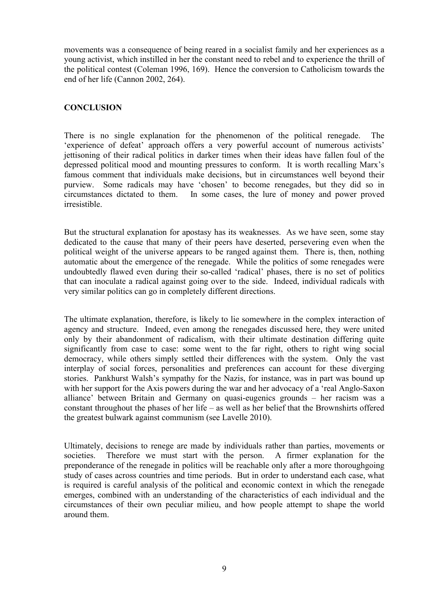movements was a consequence of being reared in a socialist family and her experiences as a young activist, which instilled in her the constant need to rebel and to experience the thrill of the political contest (Coleman 1996, 169). Hence the conversion to Catholicism towards the end of her life (Cannon 2002, 264).

# **CONCLUSION**

There is no single explanation for the phenomenon of the political renegade. The 'experience of defeat' approach offers a very powerful account of numerous activists' jettisoning of their radical politics in darker times when their ideas have fallen foul of the depressed political mood and mounting pressures to conform. It is worth recalling Marx's famous comment that individuals make decisions, but in circumstances well beyond their purview. Some radicals may have 'chosen' to become renegades, but they did so in circumstances dictated to them. In some cases, the lure of money and power proved irresistible.

But the structural explanation for apostasy has its weaknesses. As we have seen, some stay dedicated to the cause that many of their peers have deserted, persevering even when the political weight of the universe appears to be ranged against them. There is, then, nothing automatic about the emergence of the renegade. While the politics of some renegades were undoubtedly flawed even during their so-called 'radical' phases, there is no set of politics that can inoculate a radical against going over to the side. Indeed, individual radicals with very similar politics can go in completely different directions.

The ultimate explanation, therefore, is likely to lie somewhere in the complex interaction of agency and structure. Indeed, even among the renegades discussed here, they were united only by their abandonment of radicalism, with their ultimate destination differing quite significantly from case to case: some went to the far right, others to right wing social democracy, while others simply settled their differences with the system. Only the vast interplay of social forces, personalities and preferences can account for these diverging stories. Pankhurst Walsh's sympathy for the Nazis, for instance, was in part was bound up with her support for the Axis powers during the war and her advocacy of a 'real Anglo-Saxon alliance' between Britain and Germany on quasi-eugenics grounds – her racism was a constant throughout the phases of her life – as well as her belief that the Brownshirts offered the greatest bulwark against communism (see Lavelle 2010).

Ultimately, decisions to renege are made by individuals rather than parties, movements or societies. Therefore we must start with the person. A firmer explanation for the preponderance of the renegade in politics will be reachable only after a more thoroughgoing study of cases across countries and time periods. But in order to understand each case, what is required is careful analysis of the political and economic context in which the renegade emerges, combined with an understanding of the characteristics of each individual and the circumstances of their own peculiar milieu, and how people attempt to shape the world around them.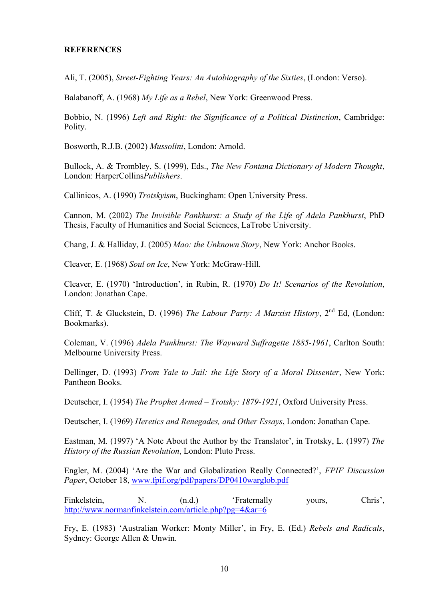#### **REFERENCES**

Ali, T. (2005), *Street-Fighting Years: An Autobiography of the Sixties*, (London: Verso).

Balabanoff, A. (1968) *My Life as a Rebel*, New York: Greenwood Press.

Bobbio, N. (1996) *Left and Right: the Significance of a Political Distinction*, Cambridge: Polity.

Bosworth, R.J.B. (2002) *Mussolini*, London: Arnold.

Bullock, A. & Trombley, S. (1999), Eds., *The New Fontana Dictionary of Modern Thought*, London: HarperCollins*Publishers*.

Callinicos, A. (1990) *Trotskyism*, Buckingham: Open University Press.

Cannon, M. (2002) *The Invisible Pankhurst: a Study of the Life of Adela Pankhurst*, PhD Thesis, Faculty of Humanities and Social Sciences, LaTrobe University.

Chang, J. & Halliday, J. (2005) *Mao: the Unknown Story*, New York: Anchor Books.

Cleaver, E. (1968) *Soul on Ice*, New York: McGraw-Hill.

Cleaver, E. (1970) 'Introduction', in Rubin, R. (1970) *Do It! Scenarios of the Revolution*, London: Jonathan Cape.

Cliff, T. & Gluckstein, D. (1996) *The Labour Party: A Marxist History*, 2<sup>nd</sup> Ed. (London: Bookmarks).

Coleman, V. (1996) *Adela Pankhurst: The Wayward Suffragette 1885-1961*, Carlton South: Melbourne University Press.

Dellinger, D. (1993) *From Yale to Jail: the Life Story of a Moral Dissenter*, New York: Pantheon Books.

Deutscher, I. (1954) *The Prophet Armed – Trotsky: 1879-1921*, Oxford University Press.

Deutscher, I. (1969) *Heretics and Renegades, and Other Essays*, London: Jonathan Cape.

Eastman, M. (1997) 'A Note About the Author by the Translator', in Trotsky, L. (1997) *The History of the Russian Revolution*, London: Pluto Press.

Engler, M. (2004) 'Are the War and Globalization Really Connected?', *FPIF Discussion Paper*, October 18, www.fpif.org/pdf/papers/DP0410warglob.pdf

Finkelstein, N. (n.d.) 'Fraternally yours, Chris', http://www.normanfinkelstein.com/article.php?pg=4&ar=6

Fry, E. (1983) 'Australian Worker: Monty Miller', in Fry, E. (Ed.) *Rebels and Radicals*, Sydney: George Allen & Unwin.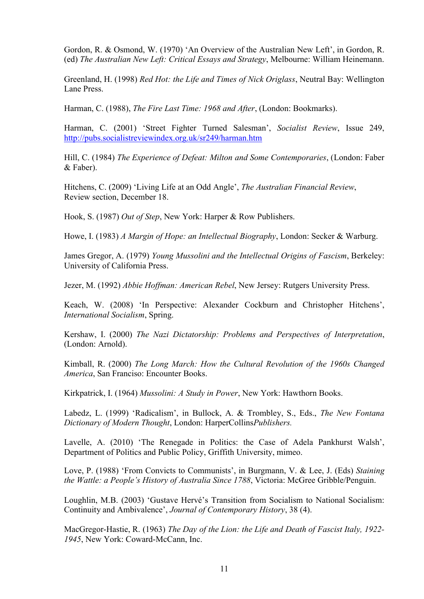Gordon, R. & Osmond, W. (1970) 'An Overview of the Australian New Left', in Gordon, R. (ed) *The Australian New Left: Critical Essays and Strategy*, Melbourne: William Heinemann.

Greenland, H. (1998) *Red Hot: the Life and Times of Nick Origlass*, Neutral Bay: Wellington Lane Press.

Harman, C. (1988), *The Fire Last Time: 1968 and After*, (London: Bookmarks).

Harman, C. (2001) 'Street Fighter Turned Salesman', *Socialist Review*, Issue 249, http://pubs.socialistreviewindex.org.uk/sr249/harman.htm

Hill, C. (1984) *The Experience of Defeat: Milton and Some Contemporaries*, (London: Faber & Faber).

Hitchens, C. (2009) 'Living Life at an Odd Angle', *The Australian Financial Review*, Review section, December 18.

Hook, S. (1987) *Out of Step*, New York: Harper & Row Publishers.

Howe, I. (1983) *A Margin of Hope: an Intellectual Biography*, London: Secker & Warburg.

James Gregor, A. (1979) *Young Mussolini and the Intellectual Origins of Fascism*, Berkeley: University of California Press.

Jezer, M. (1992) *Abbie Hoffman: American Rebel*, New Jersey: Rutgers University Press.

Keach, W. (2008) 'In Perspective: Alexander Cockburn and Christopher Hitchens', *International Socialism*, Spring.

Kershaw, I. (2000) *The Nazi Dictatorship: Problems and Perspectives of Interpretation*, (London: Arnold).

Kimball, R. (2000) *The Long March: How the Cultural Revolution of the 1960s Changed America*, San Franciso: Encounter Books.

Kirkpatrick, I. (1964) *Mussolini: A Study in Power*, New York: Hawthorn Books.

Labedz, L. (1999) 'Radicalism', in Bullock, A. & Trombley, S., Eds., *The New Fontana Dictionary of Modern Thought*, London: HarperCollins*Publishers.*

Lavelle, A. (2010) 'The Renegade in Politics: the Case of Adela Pankhurst Walsh', Department of Politics and Public Policy, Griffith University, mimeo.

Love, P. (1988) 'From Convicts to Communists', in Burgmann, V. & Lee, J. (Eds) *Staining the Wattle: a People's History of Australia Since 1788*, Victoria: McGree Gribble/Penguin.

Loughlin, M.B. (2003) 'Gustave Hervé's Transition from Socialism to National Socialism: Continuity and Ambivalence', *Journal of Contemporary History*, 38 (4).

MacGregor-Hastie, R. (1963) *The Day of the Lion: the Life and Death of Fascist Italy, 1922- 1945*, New York: Coward-McCann, Inc.